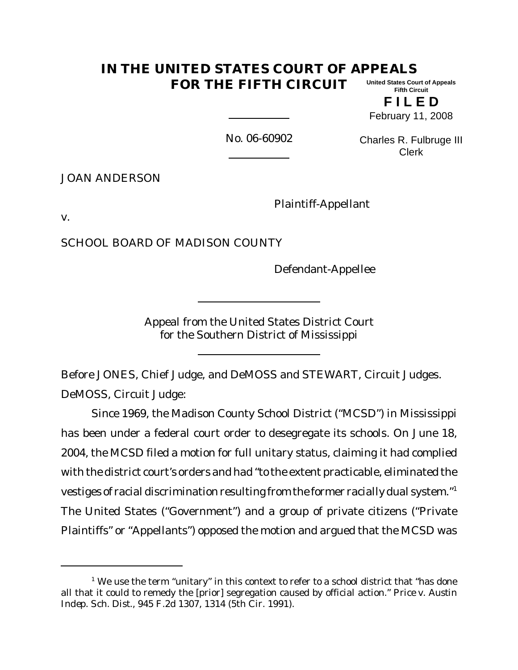#### **IN THE UNITED STATES COURT OF APPEALS FOR THE FIFTH CIRCUIT United States Court of Appeals Fifth Circuit**

**F I L E D** February 11, 2008

No. 06-60902

Charles R. Fulbruge III Clerk

JOAN ANDERSON

Plaintiff-Appellant

v.

SCHOOL BOARD OF MADISON COUNTY

Defendant-Appellee

Appeal from the United States District Court for the Southern District of Mississippi

Before JONES, Chief Judge, and DeMOSS and STEWART, Circuit Judges. DeMOSS, Circuit Judge:

Since 1969, the Madison County School District ("MCSD") in Mississippi has been under a federal court order to desegregate its schools. On June 18, 2004, the MCSD filed a motion for full unitary status, claiming it had complied with the district court's orders and had "to the extent practicable, eliminated the vestiges of racial discrimination resulting from the former racially dual system."<sup>1</sup> The United States ("Government") and a group of private citizens ("Private Plaintiffs" or "Appellants") opposed the motion and argued that the MCSD was

 $1$  We use the term "unitary" in this context to refer to a school district that "has done all that it could to remedy the [prior] segregation caused by official action." *Price v. Austin Indep. Sch. Dist.,* 945 F.2d 1307, 1314 (5th Cir. 1991).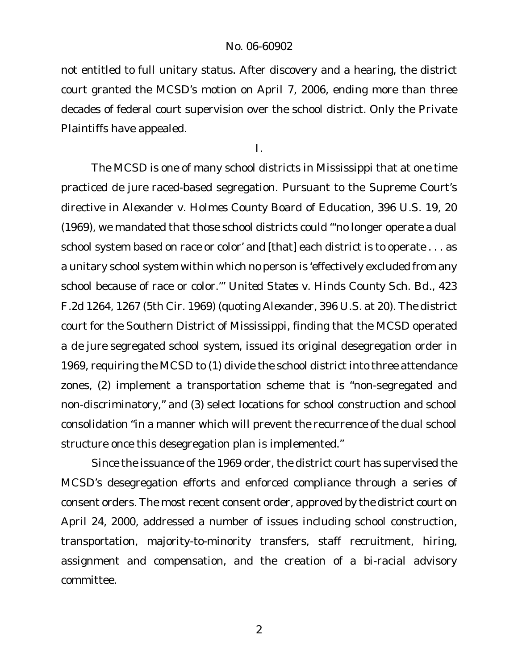not entitled to full unitary status. After discovery and a hearing, the district court granted the MCSD's motion on April 7, 2006, ending more than three decades of federal court supervision over the school district. Only the Private Plaintiffs have appealed.

I.

The MCSD is one of many school districts in Mississippi that at one time practiced *de jure* raced-based segregation. Pursuant to the Supreme Court's directive in *Alexander v. Holmes County Board of Education,* 396 U.S. 19, 20 (1969), we mandated that those school districts could "'no longer operate a dual school system based on race or color' and [that] each district is to operate . . . as a unitary school system within which no person is 'effectively excluded from any school because of race or color.'" *United States v. Hinds County Sch. Bd.*, 423 F.2d 1264, 1267 (5th Cir. 1969) (quoting *Alexander*, 396 U.S. at 20). The district court for the Southern District of Mississippi, finding that the MCSD operated a *de jure* segregated school system, issued its original desegregation order in 1969, requiring the MCSD to (1) divide the school district into three attendance zones, (2) implement a transportation scheme that is "non-segregated and non-discriminatory," and (3) select locations for school construction and school consolidation "in a manner which will prevent the recurrence of the dual school structure once this desegregation plan is implemented."

Since the issuance of the 1969 order, the district court has supervised the MCSD's desegregation efforts and enforced compliance through a series of consent orders. The most recent consent order, approved by the district court on April 24, 2000, addressed a number of issues including school construction, transportation, majority-to-minority transfers, staff recruitment, hiring, assignment and compensation, and the creation of a bi-racial advisory committee.

2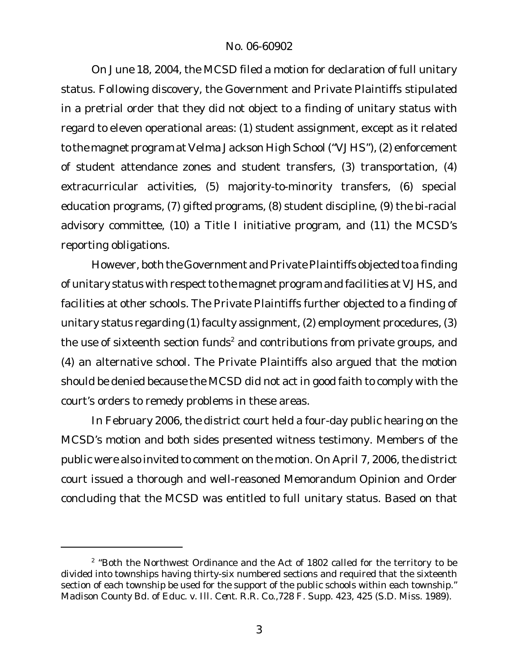On June 18, 2004, the MCSD filed a motion for declaration of full unitary status. Following discovery, the Government and Private Plaintiffs stipulated in a pretrial order that they did not object to a finding of unitary status with regard to eleven operational areas: (1) student assignment, except as it related to the magnet program at Velma Jackson High School ("VJHS"), (2) enforcement of student attendance zones and student transfers, (3) transportation, (4) extracurricular activities, (5) majority-to-minority transfers, (6) special education programs, (7) gifted programs, (8) student discipline, (9) the bi-racial advisory committee, (10) a Title I initiative program, and (11) the MCSD's reporting obligations.

However, both the Government and Private Plaintiffs objected to a finding of unitary status with respect to the magnet program and facilities at VJHS, and facilities at other schools. The Private Plaintiffs further objected to a finding of unitary status regarding (1) faculty assignment, (2) employment procedures, (3) the use of sixteenth section funds<sup>2</sup> and contributions from private groups, and (4) an alternative school. The Private Plaintiffs also argued that the motion should be denied because the MCSD did not act in good faith to comply with the court's orders to remedy problems in these areas.

In February 2006, the district court held a four-day public hearing on the MCSD's motion and both sides presented witness testimony. Members of the public were also invited to comment on the motion. On April 7, 2006, the district court issued a thorough and well-reasoned Memorandum Opinion and Order concluding that the MCSD was entitled to full unitary status. Based on that

 $2$  "Both the Northwest Ordinance and the Act of 1802 called for the territory to be divided into townships having thirty-six numbered sections and required that the sixteenth section of each township be used for the support of the public schools within each township." *Madison County Bd. of Educ. v. Ill. Cent. R.R. Co.*,728 F. Supp. 423, 425 (S.D. Miss. 1989).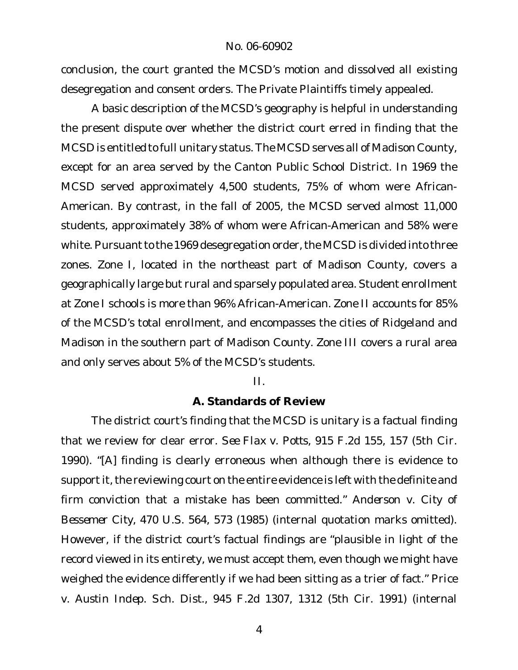conclusion, the court granted the MCSD's motion and dissolved all existing desegregation and consent orders. The Private Plaintiffs timely appealed.

A basic description of the MCSD's geography is helpful in understanding the present dispute over whether the district court erred in finding that the MCSD is entitled to full unitary status.The MCSD serves all of Madison County, except for an area served by the Canton Public School District. In 1969 the MCSD served approximately 4,500 students, 75% of whom were African-American. By contrast, in the fall of 2005, the MCSD served almost 11,000 students, approximately 38% of whom were African-American and 58% were white. Pursuant to the 1969 desegregation order, the MCSD is divided into three zones. Zone I, located in the northeast part of Madison County, covers a geographically large but rural and sparsely populated area. Student enrollment at Zone I schools is more than 96% African-American. Zone II accounts for 85% of the MCSD's total enrollment, and encompasses the cities of Ridgeland and Madison in the southern part of Madison County. Zone III covers a rural area and only serves about 5% of the MCSD's students.

II.

#### **A. Standards of Review**

The district court's finding that the MCSD is unitary is a factual finding that we review for clear error. *See Flax v. Potts*, 915 F.2d 155, 157 (5th Cir. 1990). "[A] finding is clearly erroneous when although there is evidence to support it, the reviewing court on the entire evidence is left with the definite and firm conviction that a mistake has been committed." *Anderson v. City of Bessemer City*, 470 U.S. 564, 573 (1985) (internal quotation marks omitted). However, if the district court's factual findings are "plausible in light of the record viewed in its entirety, we must accept them, even though we might have weighed the evidence differently if we had been sitting as a trier of fact." *Price v. Austin Indep. Sch. Dist.,* 945 F.2d 1307, 1312 (5th Cir. 1991) (internal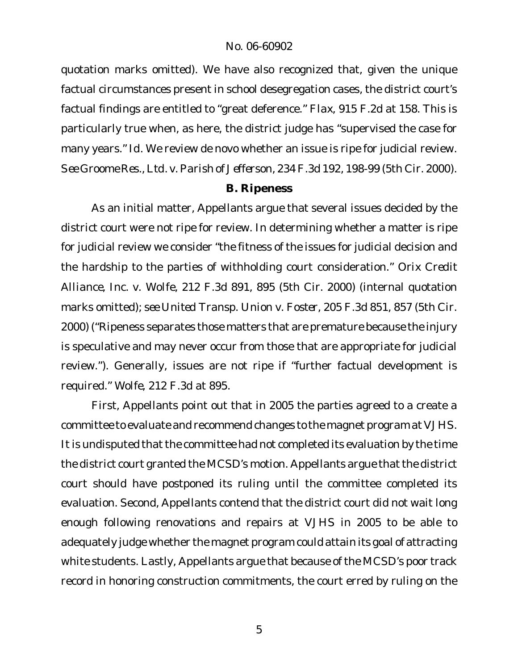quotation marks omitted). We have also recognized that, given the unique factual circumstances present in school desegregation cases, the district court's factual findings are entitled to "great deference." *Flax*, 915 F.2d at 158. This is particularly true when, as here, the district judge has "supervised the case for many years." *Id*. We review de novo whether an issue is ripe for judicial review. *See Groome Res.,Ltd. v.Parish of Jefferson*, 234 F.3d 192, 198-99 (5th Cir. 2000).

## **B. Ripeness**

As an initial matter, Appellants argue that several issues decided by the district court were not ripe for review. In determining whether a matter is ripe for judicial review we consider "the fitness of the issues for judicial decision and the hardship to the parties of withholding court consideration." *Orix Credit Alliance, Inc. v. Wolfe*, 212 F.3d 891, 895 (5th Cir. 2000) (internal quotation marks omitted); *see United Transp. Union v. Foster*, 205 F.3d 851, 857 (5th Cir. 2000) ("Ripeness separates those matters that are premature because the injury is speculative and may never occur from those that are appropriate for judicial review."). Generally, issues are not ripe if "further factual development is required." *Wolfe,* 212 F.3d at 895.

First, Appellants point out that in 2005 the parties agreed to a create a committee to evaluate and recommend changes to the magnet program at VJHS. It is undisputed that the committee had not completed its evaluation by the time the district court granted the MCSD's motion. Appellants argue that the district court should have postponed its ruling until the committee completed its evaluation. Second, Appellants contend that the district court did not wait long enough following renovations and repairs at VJHS in 2005 to be able to adequately judge whether the magnet program could attain its goal of attracting white students. Lastly, Appellants argue that because of the MCSD's poor track record in honoring construction commitments, the court erred by ruling on the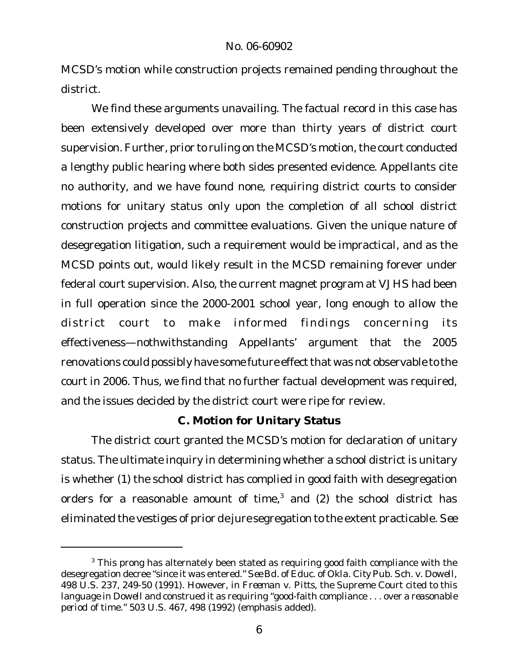MCSD's motion while construction projects remained pending throughout the district.

We find these arguments unavailing. The factual record in this case has been extensively developed over more than thirty years of district court supervision. Further, prior to ruling on the MCSD's motion, the court conducted a lengthy public hearing where both sides presented evidence. Appellants cite no authority, and we have found none, requiring district courts to consider motions for unitary status only upon the completion of all school district construction projects and committee evaluations. Given the unique nature of desegregation litigation, such a requirement would be impractical, and as the MCSD points out, would likely result in the MCSD remaining forever under federal court supervision. Also, the current magnet program at VJHS had been in full operation since the 2000-2001 school year, long enough to allow the district court to make informed findings concerning its effectiveness—nothwithstanding Appellants' argument that the 2005 renovations could possibly have some future effect that was not observable to the court in 2006. Thus, we find that no further factual development was required, and the issues decided by the district court were ripe for review.

# **C. Motion for Unitary Status**

The district court granted the MCSD's motion for declaration of unitary status. The ultimate inquiry in determining whether a school district is unitary is whether (1) the school district has complied in good faith with desegregation orders for a reasonable amount of time, $^3$  and (2) the school district has eliminated the vestiges of prior *de jure* segregation to the extent practicable. *See*

<sup>&</sup>lt;sup>3</sup> This prong has alternately been stated as requiring good faith compliance with the desegregation decree "since it was entered." *See Bd. of Educ. of Okla. City Pub. Sch. v. Dowell*, 498 U.S. 237, 249-50 (1991). However, in *Freeman v. Pitts*, the Supreme Court cited to this language in *Dowell* and construed it as requiring "good-faith compliance . . . over a *reasonable period* of time." 503 U.S. 467, 498 (1992) (emphasis added).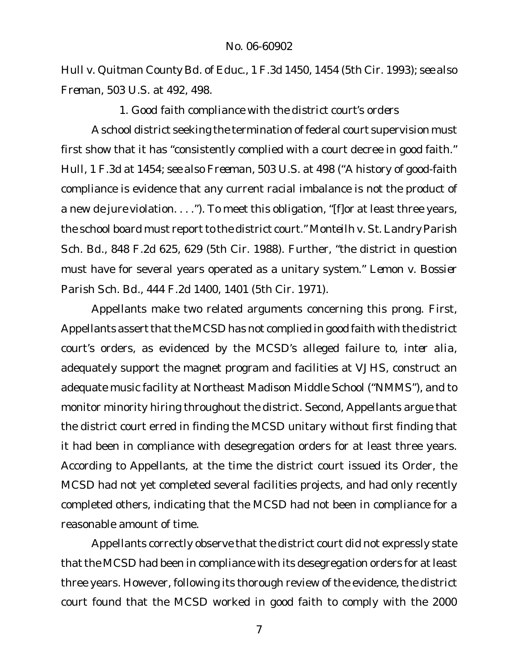*Hull v. Quitman County Bd. of Educ*., 1 F.3d 1450, 1454 (5th Cir. 1993); *see also Freman*, 503 U.S. at 492, 498.

*1*. *Good faith compliance with the district court's orders*

A school district seeking the termination of federal court supervision must first show that it has "consistently complied with a court decree in good faith." *Hull,* 1 F.3d at 1454; *see also Freeman*, 503 U.S. at 498 ("A history of good-faith compliance is evidence that any current racial imbalance is not the product of a new *de jure* violation. . . ."). To meet this obligation, "[f]or at least three years, the school board must report to the district court." Monteilh v. St. Landry Parish *Sch. Bd.*, 848 F.2d 625, 629 (5th Cir. 1988). Further, "the district in question must have for several years operated as a unitary system." *Lemon v. Bossier Parish Sch. Bd.*, 444 F.2d 1400, 1401 (5th Cir. 1971).

Appellants make two related arguments concerning this prong. First, Appellants assert that the MCSD has not complied in good faith with the district court's orders, as evidenced by the MCSD's alleged failure to, *inter alia*, adequately support the magnet program and facilities at VJHS, construct an adequate music facility at Northeast Madison Middle School ("NMMS"), and to monitor minority hiring throughout the district. Second, Appellants argue that the district court erred in finding the MCSD unitary without first finding that it had been in compliance with desegregation orders for at least three years. According to Appellants, at the time the district court issued its Order, the MCSD had not yet completed several facilities projects, and had only recently completed others, indicating that the MCSD had not been in compliance for a reasonable amount of time.

Appellants correctly observe that the district court did not expressly state that the MCSD had been in compliance with its desegregation orders for at least three years. However, following its thorough review of the evidence, the district court found that the MCSD worked in good faith to comply with the 2000

7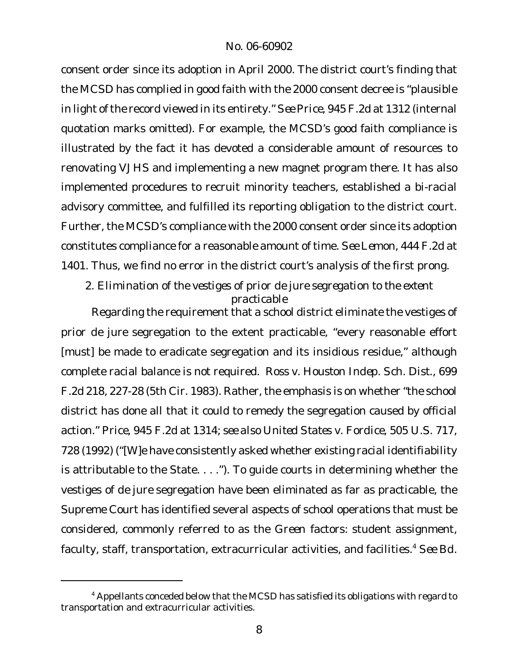consent order since its adoption in April 2000. The district court's finding that the MCSD has complied in good faith with the 2000 consent decree is "plausible in light of the record viewed in its entirety." See Price, 945 F.2d at 1312 (internal quotation marks omitted). For example, the MCSD's good faith compliance is illustrated by the fact it has devoted a considerable amount of resources to renovating VJHS and implementing a new magnet program there. It has also implemented procedures to recruit minority teachers, established a bi-racial advisory committee, and fulfilled its reporting obligation to the district court. Further, the MCSD's compliance with the 2000 consent order since its adoption constitutes compliance for a reasonable amount of time. *See Lemon,* 444 F.2d at 1401. Thus, we find no error in the district court's analysis of the first prong.

*2. Elimination of the vestiges of prior de jure segregation to the extent practicable*

Regarding the requirement that a school district eliminate the vestiges of prior *de jure* segregation to the extent practicable, "every reasonable effort [must] be made to eradicate segregation and its insidious residue," although complete racial balance is not required. *Ross v. Houston Indep. Sch. Dist*., 699 F.2d 218, 227-28 (5th Cir. 1983). Rather, the emphasis is on whether "the school district has done all that it could to remedy the segregation caused by official action." *Price*, 945 F.2d at 1314; *see also United States v. Fordice*, 505 U.S. 717, 728 (1992) ("[W]e have consistently asked whether existing racial identifiability is attributable to the State. . . ."). To guide courts in determining whether the vestiges of *de jure* segregation have been eliminated as far as practicable, the Supreme Court has identified several aspects of school operations that must be considered, commonly referred to as the *Green* factors: student assignment, faculty, staff, transportation, extracurricular activities, and facilities.<sup>4</sup> *See Bd.*

<sup>4</sup> Appellants conceded below that the MCSD has satisfied its obligations with regard to transportation and extracurricular activities.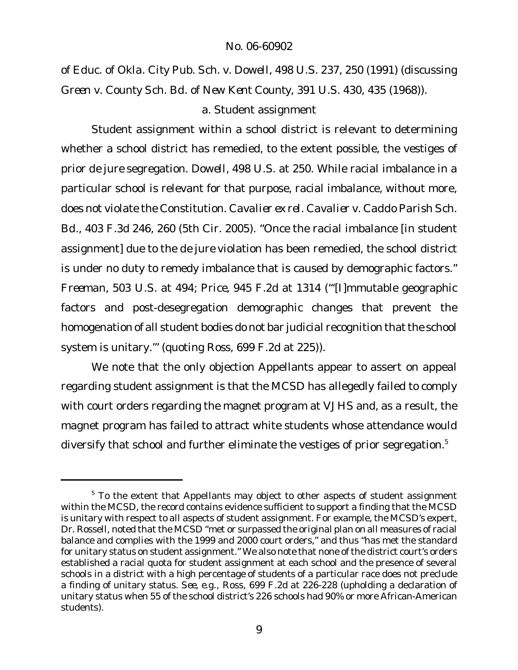*of Educ. of Okla. City Pub. Sch. v. Dowell*, 498 U.S. 237, 250 (1991) (discussing *Green v. County Sch. Bd. of New Kent County,* 391 U.S. 430, 435 (1968)).

### a. Student assignment

Student assignment within a school district is relevant to determining whether a school district has remedied, to the extent possible, the vestiges of prior *de jure* segregation. *Dowell*, 498 U.S. at 250. While racial imbalance in a particular school is relevant for that purpose, racial imbalance, without more, does not violate the Constitution. *Cavalier ex rel. Cavalier v. Caddo Parish Sch. Bd.*, 403 F.3d 246, 260 (5th Cir. 2005). "Once the racial imbalance [in student assignment] due to the *de jure* violation has been remedied, the school district is under no duty to remedy imbalance that is caused by demographic factors." *Freeman*, 503 U.S. at 494; *Price*, 945 F.2d at 1314 ("'[I]mmutable geographic factors and post-desegregation demographic changes that prevent the homogenation of all student bodies do not bar judicial recognition that the school system is unitary.'" (quoting *Ross*, 699 F.2d at 225)).

We note that the only objection Appellants appear to assert on appeal regarding student assignment is that the MCSD has allegedly failed to comply with court orders regarding the magnet program at VJHS and, as a result, the magnet program has failed to attract white students whose attendance would diversify that school and further eliminate the vestiges of prior segregation.<sup>5</sup>

 $5$  To the extent that Appellants may object to other aspects of student assignment within the MCSD, the record contains evidence sufficient to support a finding that the MCSD is unitary with respect to all aspects of student assignment. For example, the MCSD's expert, Dr. Rossell, noted that the MCSD "met or surpassed the original plan on all measures of racial balance and complies with the 1999 and 2000 court orders," and thus "has met the standard for unitary status on student assignment." We also note that none of the district court's orders established a racial quota for student assignment at each school and the presence of several schools in a district with a high percentage of students of a particular race does not preclude a finding of unitary status. *See, e.g., Ross,* 699 F.2d at 226-228 (upholding a declaration of unitary status when 55 of the school district's 226 schools had 90% or more African-American students).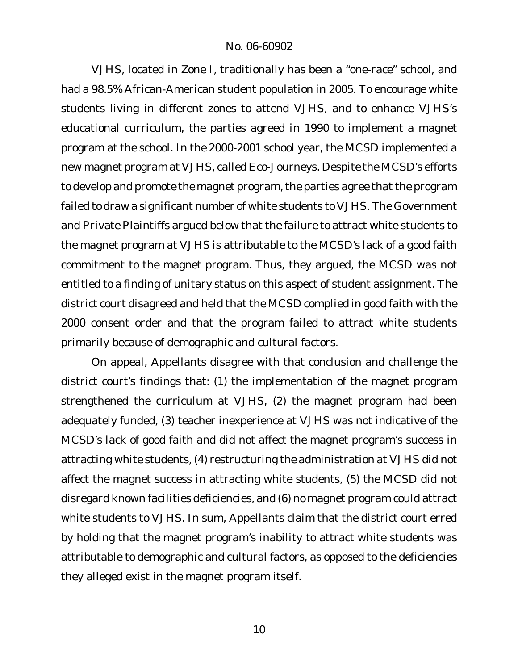VJHS, located in Zone I, traditionally has been a "one-race" school, and had a 98.5% African-American student population in 2005. To encourage white students living in different zones to attend VJHS, and to enhance VJHS's educational curriculum, the parties agreed in 1990 to implement a magnet program at the school. In the 2000-2001 school year, the MCSD implemented a new magnet program at VJHS, called Eco-Journeys. Despite the MCSD's efforts to develop and promote the magnet program, the parties agree that the program failed to draw a significant number of white students to VJHS. The Government and Private Plaintiffs argued below that the failure to attract white students to the magnet program at VJHS is attributable to the MCSD's lack of a good faith commitment to the magnet program. Thus, they argued, the MCSD was not entitled to a finding of unitary status on this aspect of student assignment. The district court disagreed and held that the MCSD complied in good faith with the 2000 consent order and that the program failed to attract white students primarily because of demographic and cultural factors.

On appeal, Appellants disagree with that conclusion and challenge the district court's findings that: (1) the implementation of the magnet program strengthened the curriculum at VJHS, (2) the magnet program had been adequately funded, (3) teacher inexperience at VJHS was not indicative of the MCSD's lack of good faith and did not affect the magnet program's success in attracting white students, (4) restructuring the administration at VJHS did not affect the magnet success in attracting white students, (5) the MCSD did not disregard known facilities deficiencies, and (6) no magnet program could attract white students to VJHS. In sum, Appellants claim that the district court erred by holding that the magnet program's inability to attract white students was attributable to demographic and cultural factors, as opposed to the deficiencies they alleged exist in the magnet program itself.

10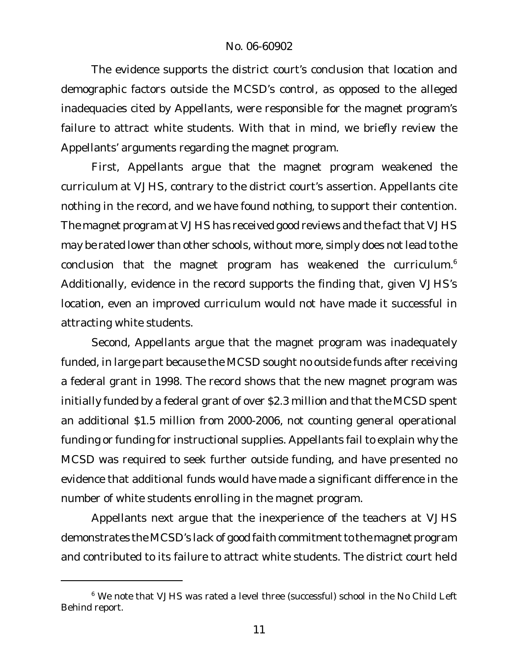The evidence supports the district court's conclusion that location and demographic factors outside the MCSD's control, as opposed to the alleged inadequacies cited by Appellants, were responsible for the magnet program's failure to attract white students. With that in mind, we briefly review the Appellants' arguments regarding the magnet program.

First, Appellants argue that the magnet program weakened the curriculum at VJHS, contrary to the district court's assertion. Appellants cite nothing in the record, and we have found nothing, to support their contention. The magnet program at VJHS has received good reviews and the fact that VJHS may be rated lower than other schools, without more, simply does not lead to the conclusion that the magnet program has weakened the curriculum.<sup>6</sup> Additionally, evidence in the record supports the finding that, given VJHS's location, even an improved curriculum would not have made it successful in attracting white students.

Second, Appellants argue that the magnet program was inadequately funded, in large part because the MCSD sought no outside funds after receiving a federal grant in 1998. The record shows that the new magnet program was initially funded by a federal grant of over \$2.3 million and that the MCSD spent an additional \$1.5 million from 2000-2006, not counting general operational funding or funding for instructional supplies. Appellants fail to explain why the MCSD was required to seek further outside funding, and have presented no evidence that additional funds would have made a significant difference in the number of white students enrolling in the magnet program.

Appellants next argue that the inexperience of the teachers at VJHS demonstrates the MCSD's lack of good faith commitment to the magnet program and contributed to its failure to attract white students. The district court held

<sup>&</sup>lt;sup>6</sup> We note that VJHS was rated a level three (successful) school in the No Child Left Behind report.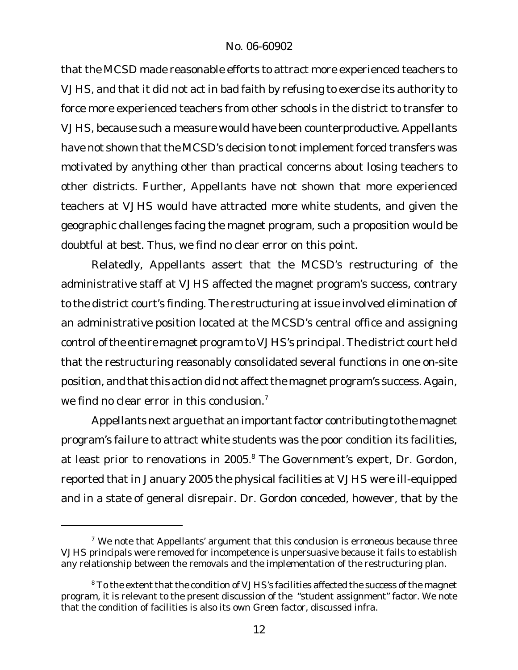that the MCSD made reasonable efforts to attract more experienced teachers to VJHS, and that it did not act in bad faith by refusing to exercise its authority to force more experienced teachers from other schools in the district to transfer to VJHS, because such a measure would have been counterproductive. Appellants have not shown that the MCSD's decision to not implement forced transfers was motivated by anything other than practical concerns about losing teachers to other districts. Further, Appellants have not shown that more experienced teachers at VJHS would have attracted more white students, and given the geographic challenges facing the magnet program, such a proposition would be doubtful at best. Thus, we find no clear error on this point.

Relatedly, Appellants assert that the MCSD's restructuring of the administrative staff at VJHS affected the magnet program's success, contrary to the district court's finding. The restructuring at issue involved elimination of an administrative position located at the MCSD's central office and assigning control of the entire magnet program to VJHS's principal. The district court held that the restructuring reasonably consolidated several functions in one on-site position, and that this action did not affect the magnet program's success. Again, we find no clear error in this conclusion.<sup>7</sup>

Appellants next argue that an important factor contributing to the magnet program's failure to attract white students was the poor condition its facilities, at least prior to renovations in 2005.<sup>8</sup> The Government's expert, Dr. Gordon, reported that in January 2005 the physical facilities at VJHS were ill-equipped and in a state of general disrepair. Dr. Gordon conceded, however, that by the

 $7$  We note that Appellants' argument that this conclusion is erroneous because three VJHS principals were removed for incompetence is unpersuasive because it fails to establish any relationship between the removals and the implementation of the restructuring plan.

<sup>&</sup>lt;sup>8</sup> To the extent that the condition of VJHS's facilities affected the success of the magnet program, it is relevant to the present discussion of the "student assignment" factor. We note that the condition of facilities is also its own *Green* factor, discussed *infra.*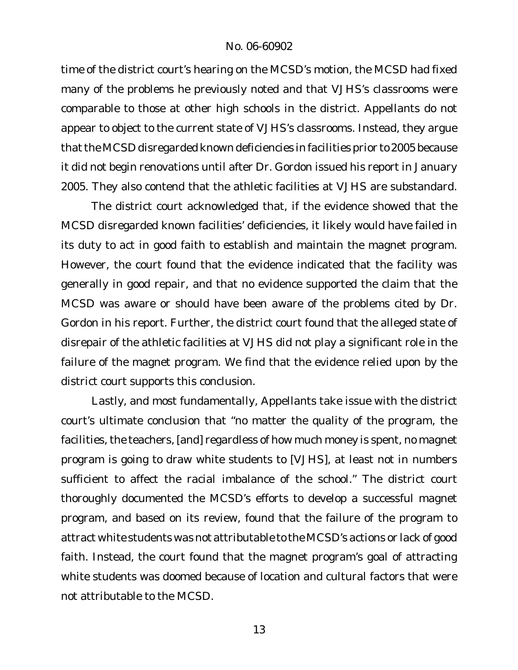time of the district court's hearing on the MCSD's motion, the MCSD had fixed many of the problems he previously noted and that VJHS's classrooms were comparable to those at other high schools in the district. Appellants do not appear to object to the current state of VJHS's classrooms. Instead, they argue that the MCSD disregarded known deficiencies in facilities prior to 2005 because it did not begin renovations until after Dr. Gordon issued his report in January 2005. They also contend that the athletic facilities at VJHS are substandard.

The district court acknowledged that, if the evidence showed that the MCSD disregarded known facilities' deficiencies, it likely would have failed in its duty to act in good faith to establish and maintain the magnet program. However, the court found that the evidence indicated that the facility was generally in good repair, and that no evidence supported the claim that the MCSD was aware or should have been aware of the problems cited by Dr. Gordon in his report. Further, the district court found that the alleged state of disrepair of the athletic facilities at VJHS did not play a significant role in the failure of the magnet program. We find that the evidence relied upon by the district court supports this conclusion.

Lastly, and most fundamentally, Appellants take issue with the district court's ultimate conclusion that "no matter the quality of the program, the facilities, the teachers, [and] regardless of how much money is spent, no magnet program is going to draw white students to [VJHS], at least not in numbers sufficient to affect the racial imbalance of the school." The district court thoroughly documented the MCSD's efforts to develop a successful magnet program, and based on its review, found that the failure of the program to attract white students was not attributable to the MCSD's actions or lack of good faith. Instead, the court found that the magnet program's goal of attracting white students was doomed because of location and cultural factors that were not attributable to the MCSD.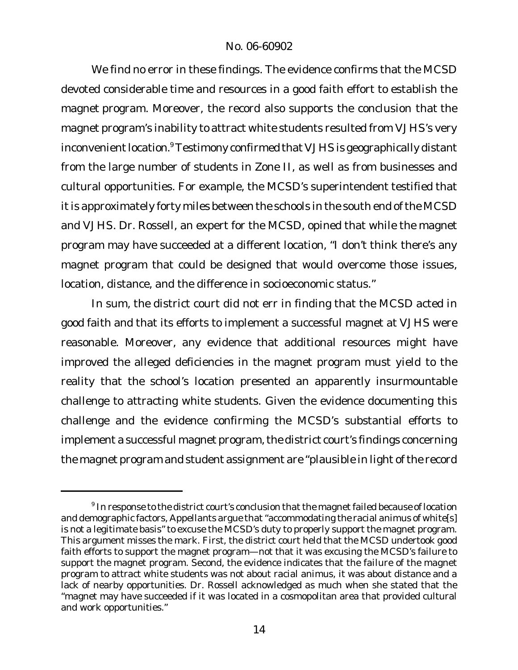We find no error in these findings. The evidence confirms that the MCSD devoted considerable time and resources in a good faith effort to establish the magnet program. Moreover, the record also supports the conclusion that the magnet program's inability to attract white students resulted from VJHS's very inconvenient location.<sup>9</sup> Testimony confirmed that VJHS is geographically distant from the large number of students in Zone II, as well as from businesses and cultural opportunities. For example, the MCSD's superintendent testified that it is approximately forty miles between the schools in the south end of the MCSD and VJHS. Dr. Rossell, an expert for the MCSD, opined that while the magnet program may have succeeded at a different location, "I don't think there's any magnet program that could be designed that would overcome those issues, location, distance, and the difference in socioeconomic status."

In sum, the district court did not err in finding that the MCSD acted in good faith and that its efforts to implement a successful magnet at VJHS were reasonable. Moreover, any evidence that additional resources might have improved the alleged deficiencies in the magnet program must yield to the reality that the school's location presented an apparently insurmountable challenge to attracting white students. Given the evidence documenting this challenge and the evidence confirming the MCSD's substantial efforts to implement a successful magnet program, the district court's findings concerning the magnet program and student assignment are "plausible in light of the record

 $^9$  In response to the district court's conclusion that the magnet failed because of location and demographic factors, Appellants argue that "accommodating the racial animus of white[s] is not a legitimate basis" to excuse the MCSD's duty to properly support the magnet program. This argument misses the mark. First, the district court held that the MCSD undertook good faith efforts to support the magnet program—not that it was excusing the MCSD's failure to support the magnet program. Second, the evidence indicates that the failure of the magnet program to attract white students was not about racial animus, it was about distance and a lack of nearby opportunities. Dr. Rossell acknowledged as much when she stated that the "magnet may have succeeded if it was located in a cosmopolitan area that provided cultural and work opportunities."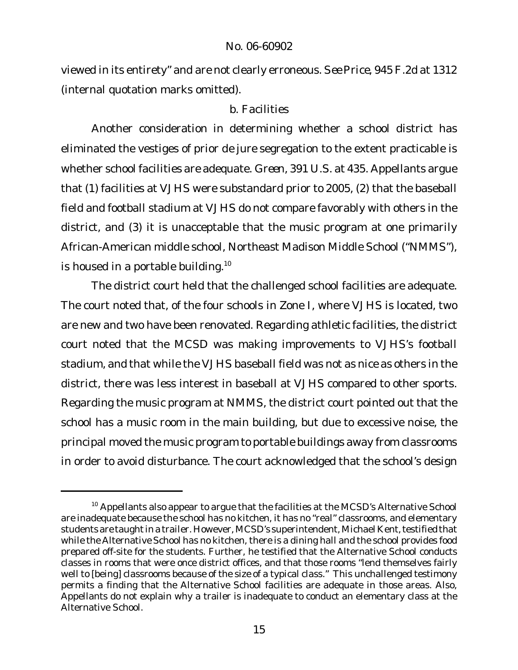viewed in its entirety" and are not clearly erroneous. *See Price,* 945 F.2d at 1312 (internal quotation marks omitted).

# b. Facilities

Another consideration in determining whether a school district has eliminated the vestiges of prior *de jure* segregation to the extent practicable is whether school facilities are adequate. *Green*, 391 U.S. at 435. Appellants argue that (1) facilities at VJHS were substandard prior to 2005, (2) that the baseball field and football stadium at VJHS do not compare favorably with others in the district, and (3) it is unacceptable that the music program at one primarily African-American middle school, Northeast Madison Middle School ("NMMS"), is housed in a portable building.<sup>10</sup>

The district court held that the challenged school facilities are adequate. The court noted that, of the four schools in Zone I, where VJHS is located, two are new and two have been renovated. Regarding athletic facilities, the district court noted that the MCSD was making improvements to VJHS's football stadium, and that while the VJHS baseball field was not as nice as others in the district, there was less interest in baseball at VJHS compared to other sports. Regarding the music program at NMMS, the district court pointed out that the school has a music room in the main building, but due to excessive noise, the principal moved the music program to portable buildings away from classrooms in order to avoid disturbance. The court acknowledged that the school's design

<sup>&</sup>lt;sup>10</sup> Appellants also appear to argue that the facilities at the MCSD's Alternative School are inadequate because the school has no kitchen, it has no "real" classrooms, and elementary students are taught in a trailer. However, MCSD's superintendent, Michael Kent, testified that while the Alternative School has no kitchen, there is a dining hall and the school provides food prepared off-site for the students. Further, he testified that the Alternative School conducts classes in rooms that were once district offices, and that those rooms "lend themselves fairly well to [being] classrooms because of the size of a typical class." This unchallenged testimony permits a finding that the Alternative School facilities are adequate in those areas. Also, Appellants do not explain why a trailer is inadequate to conduct an elementary class at the Alternative School.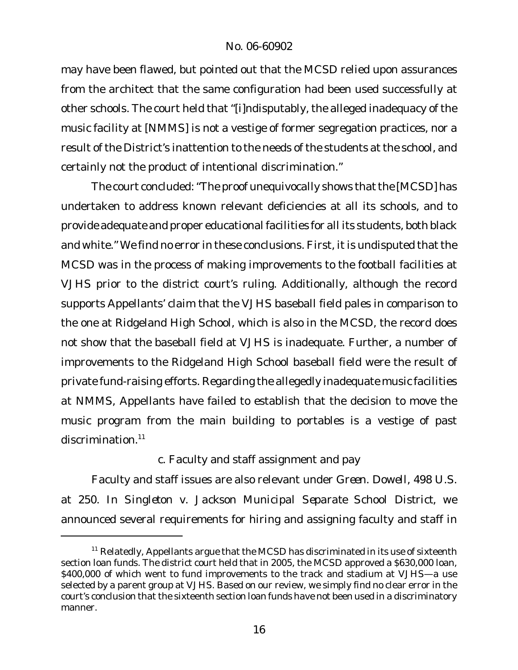may have been flawed, but pointed out that the MCSD relied upon assurances from the architect that the same configuration had been used successfully at other schools. The court held that "[i]ndisputably, the alleged inadequacy of the music facility at [NMMS] is not a vestige of former segregation practices, nor a result of the District's inattention to the needs of the students at the school, and certainly not the product of intentional discrimination."

The court concluded: "The proof unequivocally shows that the [MCSD] has undertaken to address known relevant deficiencies at all its schools, and to provide adequate and proper educationalfacilities for all its students, both black and white." We find no error in these conclusions. First, it is undisputed that the MCSD was in the process of making improvements to the football facilities at VJHS prior to the district court's ruling. Additionally, although the record supports Appellants' claim that the VJHS baseball field pales in comparison to the one at Ridgeland High School, which is also in the MCSD, the record does not show that the baseball field at VJHS is inadequate. Further, a number of improvements to the Ridgeland High School baseball field were the result of private fund-raising efforts. Regarding the allegedly inadequate music facilities at NMMS, Appellants have failed to establish that the decision to move the music program from the main building to portables is a vestige of past discrimination.<sup>11</sup>

# c. Faculty and staff assignment and pay

Faculty and staff issues are also relevant under *Green. Dowell*, 498 U.S. at 250. In *Singleton v. Jackson Municipal Separate School District*, we announced several requirements for hiring and assigning faculty and staff in

 $11$  Relatedly, Appellants argue that the MCSD has discriminated in its use of sixteenth section loan funds. The district court held that in 2005, the MCSD approved a \$630,000 loan, \$400,000 of which went to fund improvements to the track and stadium at VJHS-a use selected by a parent group at VJHS. Based on our review, we simply find no clear error in the court's conclusion that the sixteenth section loan funds have not been used in a discriminatory manner.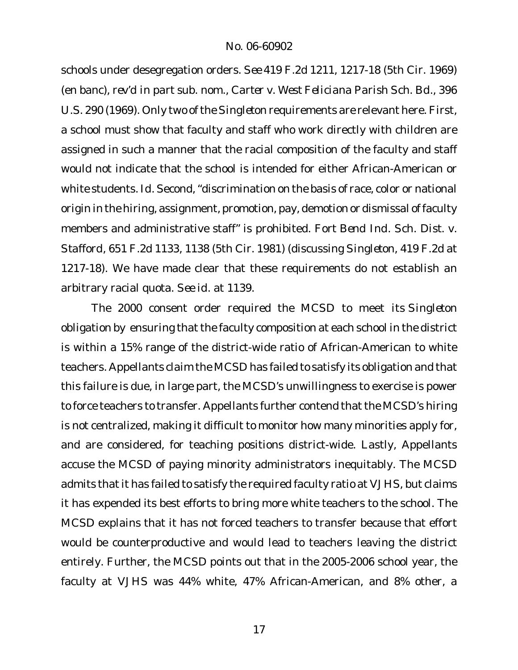schools under desegregation orders. *See* 419 F.2d 1211, 1217-18 (5th Cir. 1969) (en banc), *rev'd in part sub. nom., Carter v. West Feliciana Parish Sch. Bd.*, 396 U.S. 290 (1969). Only two of the Singleton requirements are relevant here. First, a school must show that faculty and staff who work directly with children are assigned in such a manner that the racial composition of the faculty and staff would not indicate that the school is intended for either African-American or white students. Id. Second, "discrimination on the basis of race, color or national origin in the hiring, assignment, promotion, pay, demotion or dismissal of faculty members and administrative staff" is prohibited. *Fort Bend Ind. Sch. Dist. v. Stafford*, 651 F.2d 1133, 1138 (5th Cir. 1981) (discussing *Singleton,* 419 F.2d at 1217-18). We have made clear that these requirements do not establish an arbitrary racial quota. *See id*. at 1139.

The 2000 consent order required the MCSD to meet its *Singleton* obligation by ensuring that the faculty composition at each school in the district is within a 15% range of the district-wide ratio of African-American to white teachers. Appellants claim the MCSD has failed to satisfy its obligation and that this failure is due, in large part, the MCSD's unwillingness to exercise is power to force teachers to transfer. Appellants further contend that the MCSD's hiring is not centralized, making it difficult to monitor how many minorities apply for, and are considered, for teaching positions district-wide. Lastly, Appellants accuse the MCSD of paying minority administrators inequitably. The MCSD admits that it has failed to satisfy the required faculty ratio at VJHS, but claims it has expended its best efforts to bring more white teachers to the school. The MCSD explains that it has not forced teachers to transfer because that effort would be counterproductive and would lead to teachers leaving the district entirely. Further, the MCSD points out that in the 2005-2006 school year, the faculty at VJHS was 44% white, 47% African-American, and 8% other, a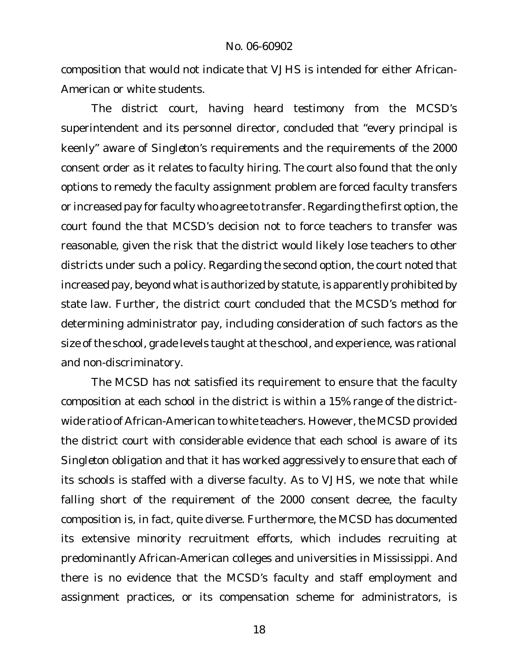composition that would not indicate that VJHS is intended for either African-American or white students.

The district court, having heard testimony from the MCSD's superintendent and its personnel director, concluded that "every principal is keenly" aware of *Singleton's* requirements and the requirements of the 2000 consent order as it relates to faculty hiring. The court also found that the only options to remedy the faculty assignment problem are forced faculty transfers or increased pay for faculty who agree to transfer. Regarding the first option, the court found the that MCSD's decision not to force teachers to transfer was reasonable, given the risk that the district would likely lose teachers to other districts under such a policy. Regarding the second option, the court noted that increased pay, beyond what is authorized by statute, is apparently prohibited by state law. Further, the district court concluded that the MCSD's method for determining administrator pay, including consideration of such factors as the size of the school, grade levels taught at the school, and experience, was rational and non-discriminatory.

The MCSD has not satisfied its requirement to ensure that the faculty composition at each school in the district is within a 15% range of the districtwide ratio of African-American to white teachers. However, the MCSD provided the district court with considerable evidence that each school is aware of its *Singleton* obligation and that it has worked aggressively to ensure that each of its schools is staffed with a diverse faculty. As to VJHS, we note that while falling short of the requirement of the 2000 consent decree, the faculty composition is, in fact, quite diverse. Furthermore, the MCSD has documented its extensive minority recruitment efforts, which includes recruiting at predominantly African-American colleges and universities in Mississippi. And there is no evidence that the MCSD's faculty and staff employment and assignment practices, or its compensation scheme for administrators, is

18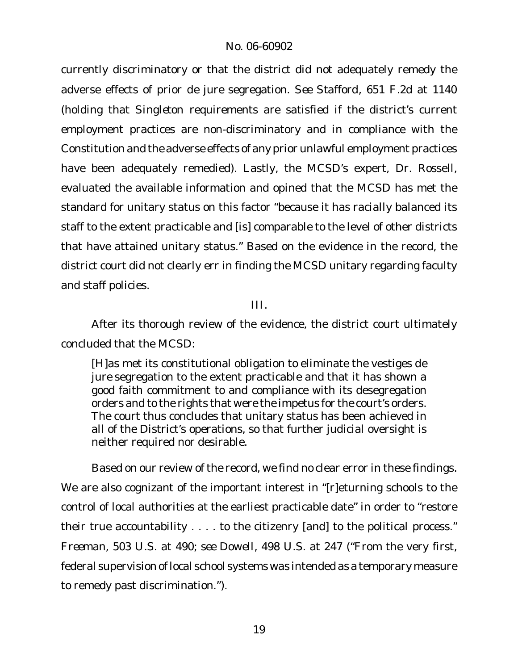currently discriminatory or that the district did not adequately remedy the adverse effects of prior *de jure* segregation. *See Stafford,* 651 F.2d at 1140 (holding that *Singleton* requirements are satisfied if the district's current employment practices are non-discriminatory and in compliance with the Constitution and the adverse effects of any prior unlawful employment practices have been adequately remedied). Lastly, the MCSD's expert, Dr. Rossell, evaluated the available information and opined that the MCSD has met the standard for unitary status on this factor "because it has racially balanced its staff to the extent practicable and [is] comparable to the level of other districts that have attained unitary status." Based on the evidence in the record, the district court did not clearly err in finding the MCSD unitary regarding faculty and staff policies.

III.

After its thorough review of the evidence, the district court ultimately concluded that the MCSD:

[H]as met its constitutional obligation to eliminate the vestiges *de jure* segregation to the extent practicable and that it has shown a good faith commitment to and compliance with its desegregation orders and to the rights that were the impetus for the court's orders. The court thus concludes that unitary status has been achieved in all of the District's operations, so that further judicial oversight is neither required nor desirable.

Based on our review of the record, we find no clear error in these findings. We are also cognizant of the important interest in "[r]eturning schools to the control of local authorities at the earliest practicable date" in order to "restore their true accountability . . . . to the citizenry [and] to the political process." *Freeman*, 503 U.S. at 490; *see Dowell*, 498 U.S. at 247 ("From the very first, federal supervision of local school systems was intended as a temporary measure to remedy past discrimination.").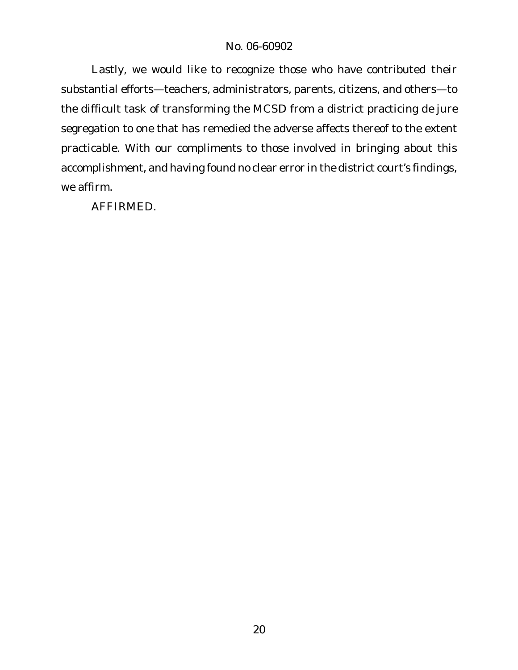Lastly, we would like to recognize those who have contributed their substantial efforts—teachers, administrators, parents, citizens, and others—to the difficult task of transforming the MCSD from a district practicing *de jure* segregation to one that has remedied the adverse affects thereof to the extent practicable. With our compliments to those involved in bringing about this accomplishment, and having found no clear error in the district court's findings, we affirm.

AFFIRMED.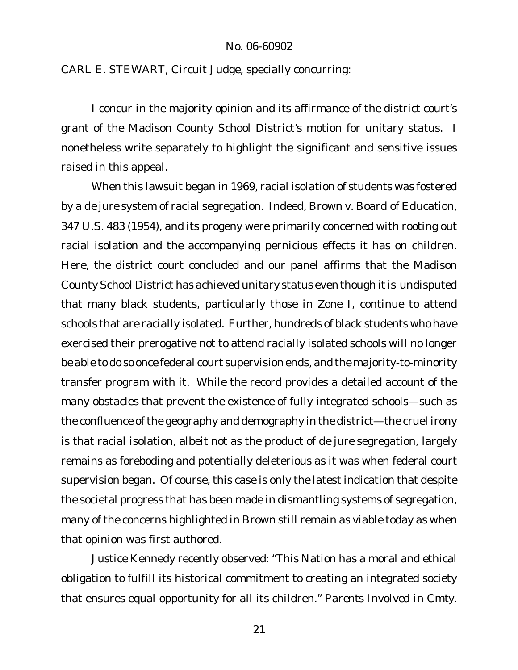CARL E. STEWART, Circuit Judge, specially concurring:

I concur in the majority opinion and its affirmance of the district court's grant of the Madison County School District's motion for unitary status. I nonetheless write separately to highlight the significant and sensitive issues raised in this appeal.

When this lawsuit began in 1969, racial isolation of students was fostered by a *de jure* system of racial segregation. Indeed, *Brown v. Board of Education*, 347 U.S. 483 (1954), and its progeny were primarily concerned with rooting out racial isolation and the accompanying pernicious effects it has on children. Here, the district court concluded and our panel affirms that the Madison County School District has achieved unitary status even though it is undisputed that many black students, particularly those in Zone I, continue to attend schools that are racially isolated. Further, hundreds of black students who have exercised their prerogative not to attend racially isolated schools will no longer be able to do so once federal court supervision ends, and the majority-to-minority transfer program with it. While the record provides a detailed account of the many obstacles that prevent the existence of fully integrated schools—such as the confluence of the geography and demography in the district—the cruel irony is that racial isolation, albeit not as the product of *de jure* segregation, largely remains as foreboding and potentially deleterious as it was when federal court supervision began. Of course, this case is only the latest indication that despite the societal progress that has been made in dismantling systems of segregation, many of the concerns highlighted in *Brown* still remain as viable today as when that opinion was first authored.

Justice Kennedy recently observed: "This Nation has a moral and ethical obligation to fulfill its historical commitment to creating an integrated society that ensures equal opportunity for all its children." *Parents Involved in Cmty.*